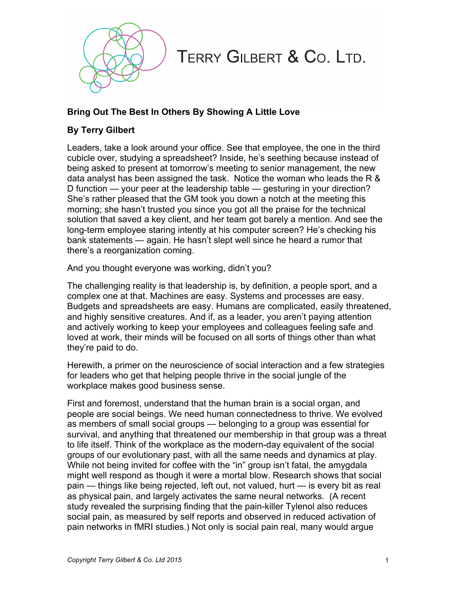

## TERRY GILBERT & Co. LTD.

## **Bring Out The Best In Others By Showing A Little Love**

## **By Terry Gilbert**

Leaders, take a look around your office. See that employee, the one in the third cubicle over, studying a spreadsheet? Inside, he's seething because instead of being asked to present at tomorrow's meeting to senior management, the new data analyst has been assigned the task. Notice the woman who leads the R & D function — your peer at the leadership table — gesturing in your direction? She's rather pleased that the GM took you down a notch at the meeting this morning; she hasn't trusted you since you got all the praise for the technical solution that saved a key client, and her team got barely a mention. And see the long-term employee staring intently at his computer screen? He's checking his bank statements — again. He hasn't slept well since he heard a rumor that there's a reorganization coming.

And you thought everyone was working, didn't you?

The challenging reality is that leadership is, by definition, a people sport, and a complex one at that. Machines are easy. Systems and processes are easy. Budgets and spreadsheets are easy. Humans are complicated, easily threatened, and highly sensitive creatures. And if, as a leader, you aren't paying attention and actively working to keep your employees and colleagues feeling safe and loved at work, their minds will be focused on all sorts of things other than what they're paid to do.

Herewith, a primer on the neuroscience of social interaction and a few strategies for leaders who get that helping people thrive in the social jungle of the workplace makes good business sense.

First and foremost, understand that the human brain is a social organ, and people are social beings. We need human connectedness to thrive. We evolved as members of small social groups — belonging to a group was essential for survival, and anything that threatened our membership in that group was a threat to life itself. Think of the workplace as the modern-day equivalent of the social groups of our evolutionary past, with all the same needs and dynamics at play. While not being invited for coffee with the "in" group isn't fatal, the amygdala might well respond as though it were a mortal blow. Research shows that social pain — things like being rejected, left out, not valued, hurt — is every bit as real as physical pain, and largely activates the same neural networks. (A recent study revealed the surprising finding that the pain-killer Tylenol also reduces social pain, as measured by self reports and observed in reduced activation of pain networks in fMRI studies.) Not only is social pain real, many would argue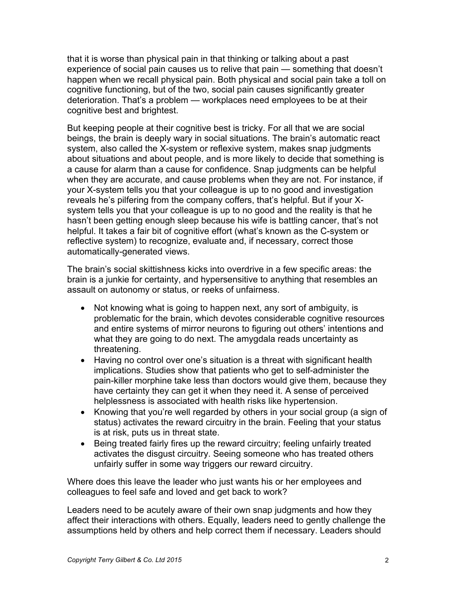that it is worse than physical pain in that thinking or talking about a past experience of social pain causes us to relive that pain — something that doesn't happen when we recall physical pain. Both physical and social pain take a toll on cognitive functioning, but of the two, social pain causes significantly greater deterioration. That's a problem — workplaces need employees to be at their cognitive best and brightest.

But keeping people at their cognitive best is tricky. For all that we are social beings, the brain is deeply wary in social situations. The brain's automatic react system, also called the X-system or reflexive system, makes snap judgments about situations and about people, and is more likely to decide that something is a cause for alarm than a cause for confidence. Snap judgments can be helpful when they are accurate, and cause problems when they are not. For instance, if your X-system tells you that your colleague is up to no good and investigation reveals he's pilfering from the company coffers, that's helpful. But if your Xsystem tells you that your colleague is up to no good and the reality is that he hasn't been getting enough sleep because his wife is battling cancer, that's not helpful. It takes a fair bit of cognitive effort (what's known as the C-system or reflective system) to recognize, evaluate and, if necessary, correct those automatically-generated views.

The brain's social skittishness kicks into overdrive in a few specific areas: the brain is a junkie for certainty, and hypersensitive to anything that resembles an assault on autonomy or status, or reeks of unfairness.

- Not knowing what is going to happen next, any sort of ambiguity, is problematic for the brain, which devotes considerable cognitive resources and entire systems of mirror neurons to figuring out others' intentions and what they are going to do next. The amygdala reads uncertainty as threatening.
- Having no control over one's situation is a threat with significant health implications. Studies show that patients who get to self-administer the pain-killer morphine take less than doctors would give them, because they have certainty they can get it when they need it. A sense of perceived helplessness is associated with health risks like hypertension.
- Knowing that you're well regarded by others in your social group (a sign of status) activates the reward circuitry in the brain. Feeling that your status is at risk, puts us in threat state.
- Being treated fairly fires up the reward circuitry; feeling unfairly treated activates the disgust circuitry. Seeing someone who has treated others unfairly suffer in some way triggers our reward circuitry.

Where does this leave the leader who just wants his or her employees and colleagues to feel safe and loved and get back to work?

Leaders need to be acutely aware of their own snap judgments and how they affect their interactions with others. Equally, leaders need to gently challenge the assumptions held by others and help correct them if necessary. Leaders should